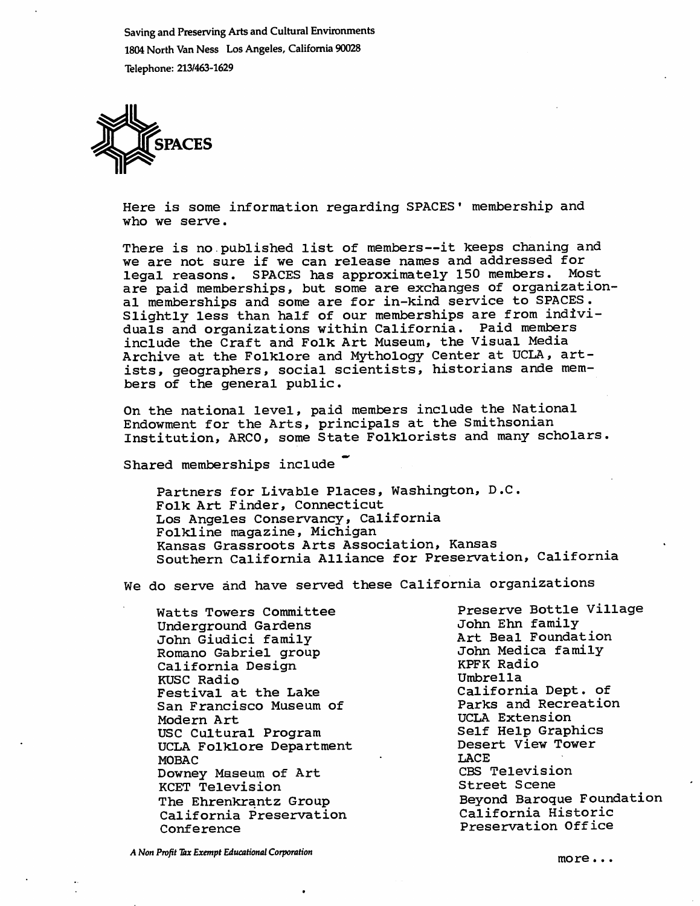Saving and Preserving Arts and Cultural Environments 1804 North Van Ness Los Angeles, California 90028 Telephone: 213/463-1629



Here is some information regarding SPACES' membership and who we serve.

There is no published list of members--it keeps chaning and we are not sure if we can release names and addressed for<br>legal reasons. SPACES has approximately 150 members. Most legal reasons. SPACES has approximately 150 members. are paid memberships, but some are exchanges of organization al memberships and some are for in-kind service to SPACES . Slightly less than half of our memberships are from indivi duals and organizations within California. Paid members include the Craft and Folk Art Museum, the Visual Media Archive at the Folklore and Mythology Center at UCLA, art ists, geographers, social scientists, historians ande mem bers of the general public.

On the national level, paid members include the National Endowment for the Arts, principals at the Smithsonian Institution, ARCO, some State Folklorists and many scholars.

Shared memberships include

Partners for Livable Places, Washington, D.C. Folk Art Finder, Connecticut Los Angeles Conservancy, California Folkline magazine, Michigan Kansas Grassroots Arts Association, Kansas Southern California Alliance for Preservation, California

We do serve and have served these California organizations

Watts Towers Committee Underground Gardens John Giudici family Romano Gabriel group California Design KUSC Radio Festival at the Lake San Francisco Museum of Modern Art USC Cultural Program UCLA Folklore Department MOBAC Downey Maseum of Art KCET Television The Ehrenkrantz Group California Preservation Conference

Preserve Bottle Village John Ehn family Art Beal Foundation John Medica family KPFK Radio Umbrella California Dept. of Parks and Recreation UCLA Extension Self Help Graphics Desert View Tower LACE CBS Television Street Scene Beyond Baroque Foundation California Historic Preservation Office

A Non Profit Tax Exempt Educational Corporation more executive contracts and more  $\cdot \cdot \cdot$